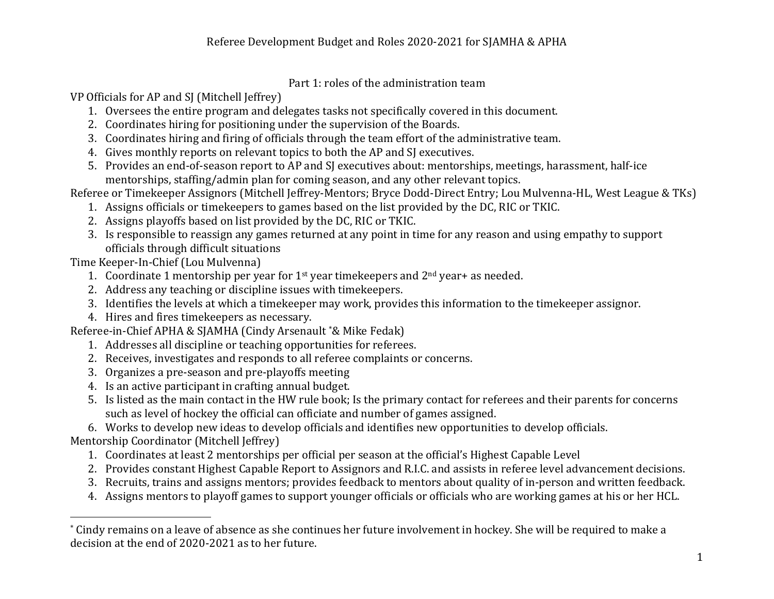## Part 1: roles of the administration team

VP Officials for AP and SJ (Mitchell Jeffrey)

- 1. Oversees the entire program and delegates tasks not specifically covered in this document.
- 2. Coordinates hiring for positioning under the supervision of the Boards.
- 3. Coordinates hiring and firing of officials through the team effort of the administrative team.
- 4. Gives monthly reports on relevant topics to both the AP and SJ executives.
- 5. Provides an end-of-season report to AP and SJ executives about: mentorships, meetings, harassment, half-ice mentorships, staffing/admin plan for coming season, and any other relevant topics.

Referee or Timekeeper Assignors (Mitchell Jeffrey-Mentors; Bryce Dodd-Direct Entry; Lou Mulvenna-HL, West League & TKs)

- 1. Assigns officials or timekeepers to games based on the list provided by the DC, RIC or TKIC.
- 2. Assigns playoffs based on list provided by the DC, RIC or TKIC.
- 3. Is responsible to reassign any games returned at any point in time for any reason and using empathy to support officials through difficult situations

Time Keeper-In-Chief (Lou Mulvenna)

- 1. Coordinate 1 mentorship per year for  $1<sup>st</sup>$  year timekeepers and  $2<sup>nd</sup>$  year+ as needed.
- 2. Address any teaching or discipline issues with timekeepers.
- 3. Identifies the levels at which a timekeeper may work, provides this information to the timekeeper assignor.
- 4. Hires and fires timekeepers as necessary.

Referee-in-Chief APHA & SJAMHA (Cindy Arsenault \*& Mike Fedak)

- 1. Addresses all discipline or teaching opportunities for referees.
- 2. Receives, investigates and responds to all referee complaints or concerns.
- 3. Organizes a pre-season and pre-playoffs meeting
- 4. Is an active participant in crafting annual budget.
- 5. Is listed as the main contact in the HW rule book; Is the primary contact for referees and their parents for concerns such as level of hockey the official can officiate and number of games assigned.

6. Works to develop new ideas to develop officials and identifies new opportunities to develop officials.

Mentorship Coordinator (Mitchell Jeffrey)

 

- 1. Coordinates at least 2 mentorships per official per season at the official's Highest Capable Level
- 2. Provides constant Highest Capable Report to Assignors and R.I.C. and assists in referee level advancement decisions.
- 3. Recruits, trains and assigns mentors; provides feedback to mentors about quality of in-person and written feedback.
- 4. Assigns mentors to playoff games to support younger officials or officials who are working games at his or her HCL.

<sup>\*</sup> Cindy remains on a leave of absence as she continues her future involvement in hockey. She will be required to make a decision at the end of 2020-2021 as to her future.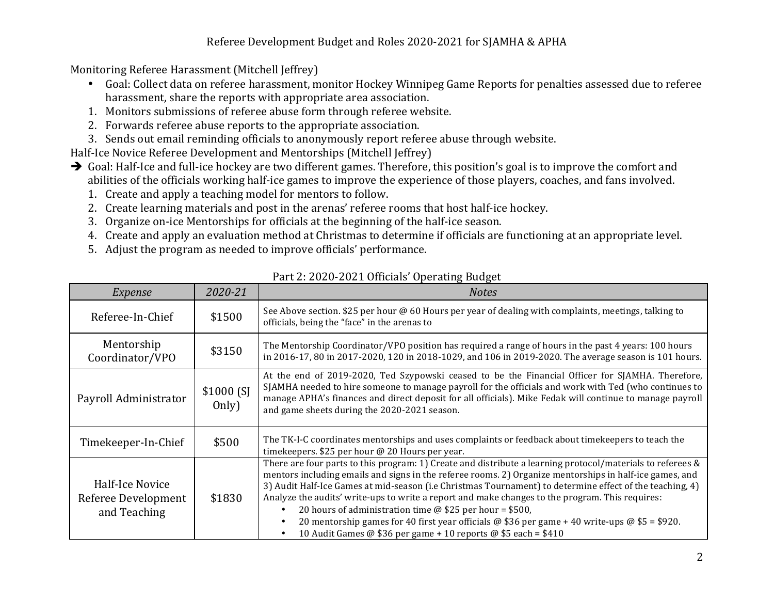## Referee Development Budget and Roles 2020-2021 for SJAMHA & APHA

Monitoring Referee Harassment (Mitchell Jeffrey)

- Goal: Collect data on referee harassment, monitor Hockey Winnipeg Game Reports for penalties assessed due to referee harassment, share the reports with appropriate area association.
- 1. Monitors submissions of referee abuse form through referee website.
- 2. Forwards referee abuse reports to the appropriate association.
- 3. Sends out email reminding officials to anonymously report referee abuse through website.

Half-Ice Novice Referee Development and Mentorships (Mitchell Jeffrey)

- $\rightarrow$  Goal: Half-Ice and full-ice hockey are two different games. Therefore, this position's goal is to improve the comfort and abilities of the officials working half-ice games to improve the experience of those players, coaches, and fans involved.
	- 1. Create and apply a teaching model for mentors to follow.
	- 2. Create learning materials and post in the arenas' referee rooms that host half-ice hockey.
	- 3. Organize on-ice Mentorships for officials at the beginning of the half-ice season.
	- 4. Create and apply an evaluation method at Christmas to determine if officials are functioning at an appropriate level.
	- 5. Adjust the program as needed to improve officials' performance.

| Expense                                                | 2020-21            | <b>Notes</b>                                                                                                                                                                                                                                                                                                                                                                                                                                                                                                                                                                                                                                                                         |
|--------------------------------------------------------|--------------------|--------------------------------------------------------------------------------------------------------------------------------------------------------------------------------------------------------------------------------------------------------------------------------------------------------------------------------------------------------------------------------------------------------------------------------------------------------------------------------------------------------------------------------------------------------------------------------------------------------------------------------------------------------------------------------------|
| Referee-In-Chief                                       | \$1500             | See Above section. \$25 per hour @ 60 Hours per year of dealing with complaints, meetings, talking to<br>officials, being the "face" in the arenas to                                                                                                                                                                                                                                                                                                                                                                                                                                                                                                                                |
| Mentorship<br>Coordinator/VPO                          | \$3150             | The Mentorship Coordinator/VPO position has required a range of hours in the past 4 years: 100 hours<br>in 2016-17, 80 in 2017-2020, 120 in 2018-1029, and 106 in 2019-2020. The average season is 101 hours.                                                                                                                                                                                                                                                                                                                                                                                                                                                                        |
| Payroll Administrator                                  | \$1000(S]<br>Only) | At the end of 2019-2020, Ted Szypowski ceased to be the Financial Officer for SJAMHA. Therefore,<br>SJAMHA needed to hire someone to manage payroll for the officials and work with Ted (who continues to<br>manage APHA's finances and direct deposit for all officials). Mike Fedak will continue to manage payroll<br>and game sheets during the 2020-2021 season.                                                                                                                                                                                                                                                                                                                |
| Timekeeper-In-Chief                                    | \$500              | The TK-I-C coordinates mentorships and uses complaints or feedback about timekeepers to teach the<br>timekeepers. \$25 per hour @ 20 Hours per year.                                                                                                                                                                                                                                                                                                                                                                                                                                                                                                                                 |
| Half-Ice Novice<br>Referee Development<br>and Teaching | \$1830             | There are four parts to this program: 1) Create and distribute a learning protocol/materials to referees $\&$<br>mentors including emails and signs in the referee rooms. 2) Organize mentorships in half-ice games, and<br>3) Audit Half-Ice Games at mid-season (i.e Christmas Tournament) to determine effect of the teaching, 4)<br>Analyze the audits' write-ups to write a report and make changes to the program. This requires:<br>20 hours of administration time $\omega$ \$25 per hour = \$500,<br>20 mentorship games for 40 first year officials @ \$36 per game + 40 write-ups $\omega$ \$5 = \$920.<br>10 Audit Games @ \$36 per game + 10 reports @ \$5 each = \$410 |

Part 2: 2020-2021 Officials' Operating Budget